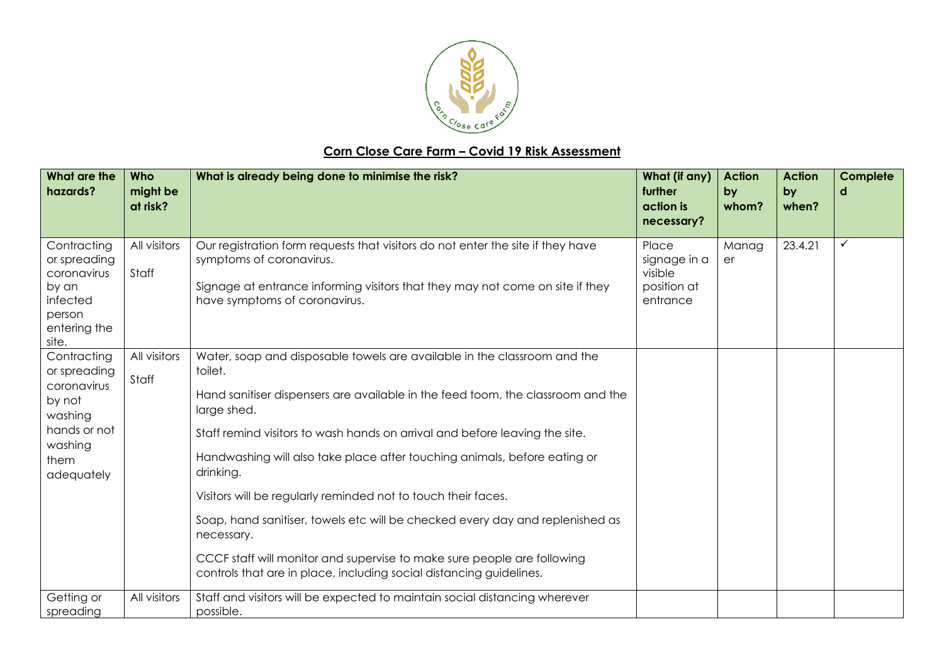

## **Corn Close Care Farm – Covid 19 Risk Assessment**

| What are the<br>hazards?                                                                                         | Who<br>might be<br>at risk? | What is already being done to minimise the risk?                                                                                                                                                                                                                                                                                                                                                                                                                                                                                                                                                                                                                                 | What (if any)<br>further<br>action is<br>necessary?         | <b>Action</b><br>by<br>whom? | <b>Action</b><br>by<br>when? | Complete<br>d |
|------------------------------------------------------------------------------------------------------------------|-----------------------------|----------------------------------------------------------------------------------------------------------------------------------------------------------------------------------------------------------------------------------------------------------------------------------------------------------------------------------------------------------------------------------------------------------------------------------------------------------------------------------------------------------------------------------------------------------------------------------------------------------------------------------------------------------------------------------|-------------------------------------------------------------|------------------------------|------------------------------|---------------|
| Contracting<br>or spreading<br>coronavirus<br>by an<br>infected<br>person<br>entering the<br>site.               | All visitors<br>Staff       | Our registration form requests that visitors do not enter the site if they have<br>symptoms of coronavirus.<br>Signage at entrance informing visitors that they may not come on site if they<br>have symptoms of coronavirus.                                                                                                                                                                                                                                                                                                                                                                                                                                                    | Place<br>signage in a<br>visible<br>position at<br>entrance | Manag<br>er                  | 23.4.21                      | ✓             |
| Contracting<br>or spreading<br>coronavirus<br>by not<br>washing<br>hands or not<br>washing<br>them<br>adequately | All visitors<br>Staff       | Water, soap and disposable towels are available in the classroom and the<br>toilet.<br>Hand sanifiser dispensers are available in the feed toom, the classroom and the<br>large shed.<br>Staff remind visitors to wash hands on arrival and before leaving the site.<br>Handwashing will also take place after touching animals, before eating or<br>drinking.<br>Visitors will be regularly reminded not to touch their faces.<br>Soap, hand sanifiser, towels etc will be checked every day and replenished as<br>necessary.<br>CCCF staff will monitor and supervise to make sure people are following<br>controls that are in place, including social distancing guidelines. |                                                             |                              |                              |               |
| Getting or<br>spreading                                                                                          | All visitors                | Staff and visitors will be expected to maintain social distancing wherever<br>possible.                                                                                                                                                                                                                                                                                                                                                                                                                                                                                                                                                                                          |                                                             |                              |                              |               |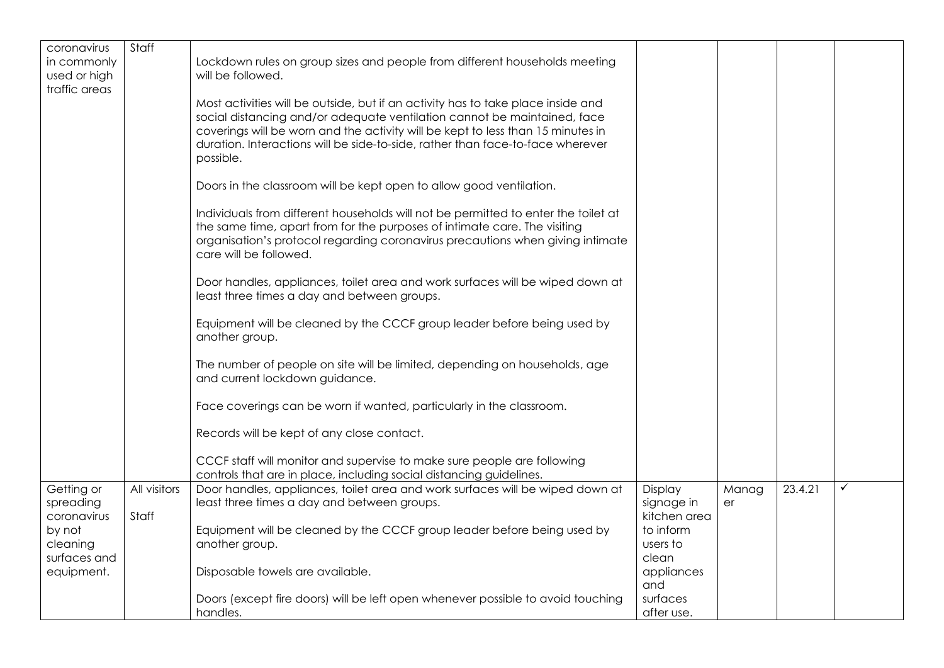| coronavirus   | Staff        |                                                                                    |              |       |         |              |
|---------------|--------------|------------------------------------------------------------------------------------|--------------|-------|---------|--------------|
| in commonly   |              | Lockdown rules on group sizes and people from different households meeting         |              |       |         |              |
| used or high  |              | will be followed.                                                                  |              |       |         |              |
| traffic areas |              |                                                                                    |              |       |         |              |
|               |              | Most activities will be outside, but if an activity has to take place inside and   |              |       |         |              |
|               |              | social distancing and/or adequate ventilation cannot be maintained, face           |              |       |         |              |
|               |              | coverings will be worn and the activity will be kept to less than 15 minutes in    |              |       |         |              |
|               |              | duration. Interactions will be side-to-side, rather than face-to-face wherever     |              |       |         |              |
|               |              | possible.                                                                          |              |       |         |              |
|               |              | Doors in the classroom will be kept open to allow good ventilation.                |              |       |         |              |
|               |              |                                                                                    |              |       |         |              |
|               |              | Individuals from different households will not be permitted to enter the toilet at |              |       |         |              |
|               |              | the same time, apart from for the purposes of intimate care. The visiting          |              |       |         |              |
|               |              | organisation's protocol regarding coronavirus precautions when giving intimate     |              |       |         |              |
|               |              | care will be followed.                                                             |              |       |         |              |
|               |              |                                                                                    |              |       |         |              |
|               |              | Door handles, appliances, toilet area and work surfaces will be wiped down at      |              |       |         |              |
|               |              | least three times a day and between groups.                                        |              |       |         |              |
|               |              | Equipment will be cleaned by the CCCF group leader before being used by            |              |       |         |              |
|               |              | another group.                                                                     |              |       |         |              |
|               |              |                                                                                    |              |       |         |              |
|               |              | The number of people on site will be limited, depending on households, age         |              |       |         |              |
|               |              | and current lockdown guidance.                                                     |              |       |         |              |
|               |              |                                                                                    |              |       |         |              |
|               |              | Face coverings can be worn if wanted, particularly in the classroom.               |              |       |         |              |
|               |              |                                                                                    |              |       |         |              |
|               |              | Records will be kept of any close contact.                                         |              |       |         |              |
|               |              | CCCF staff will monitor and supervise to make sure people are following            |              |       |         |              |
|               |              | controls that are in place, including social distancing guidelines.                |              |       |         |              |
| Getting or    | All visitors | Door handles, appliances, toilet area and work surfaces will be wiped down at      | Display      | Manag | 23.4.21 | $\checkmark$ |
| spreading     |              | least three times a day and between groups.                                        | signage in   | er    |         |              |
| coronavirus   | Staff        |                                                                                    | kitchen area |       |         |              |
| by not        |              | Equipment will be cleaned by the CCCF group leader before being used by            | to inform    |       |         |              |
| cleaning      |              | another group.                                                                     | users to     |       |         |              |
| surfaces and  |              |                                                                                    | clean        |       |         |              |
| equipment.    |              | Disposable towels are available.                                                   | appliances   |       |         |              |
|               |              |                                                                                    | and          |       |         |              |
|               |              | Doors (except fire doors) will be left open whenever possible to avoid touching    | surfaces     |       |         |              |
|               |              | handles.                                                                           | after use.   |       |         |              |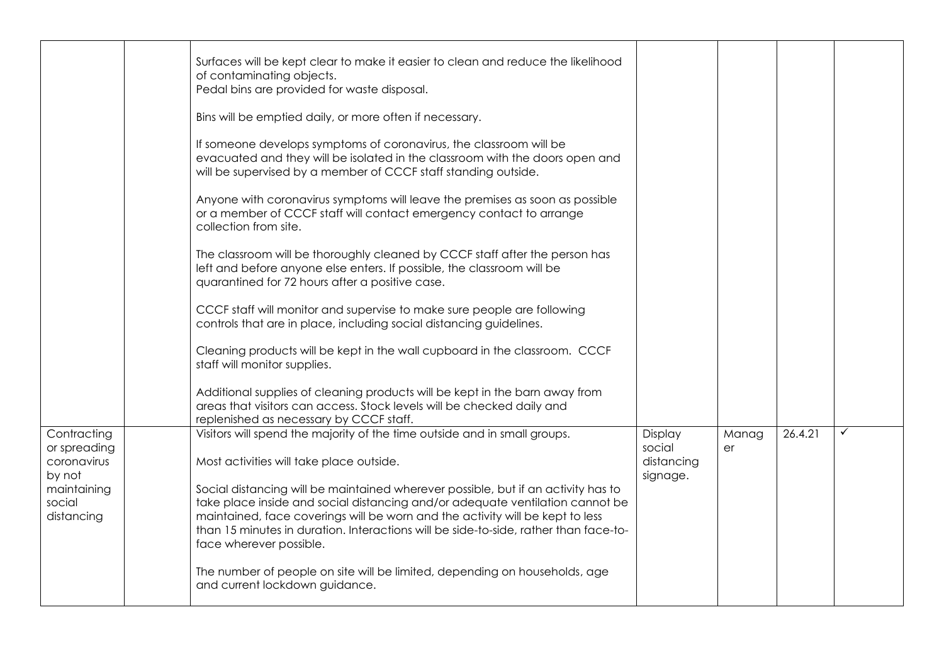|                                       | Surfaces will be kept clear to make it easier to clean and reduce the likelihood<br>of contaminating objects.<br>Pedal bins are provided for waste disposal.                                                         |                                  |       |         |   |
|---------------------------------------|----------------------------------------------------------------------------------------------------------------------------------------------------------------------------------------------------------------------|----------------------------------|-------|---------|---|
|                                       | Bins will be emptied daily, or more often if necessary.                                                                                                                                                              |                                  |       |         |   |
|                                       | If someone develops symptoms of coronavirus, the classroom will be<br>evacuated and they will be isolated in the classroom with the doors open and<br>will be supervised by a member of CCCF staff standing outside. |                                  |       |         |   |
|                                       | Anyone with coronavirus symptoms will leave the premises as soon as possible<br>or a member of CCCF staff will contact emergency contact to arrange<br>collection from site.                                         |                                  |       |         |   |
|                                       | The classroom will be thoroughly cleaned by CCCF staff after the person has<br>left and before anyone else enters. If possible, the classroom will be<br>quarantined for 72 hours after a positive case.             |                                  |       |         |   |
|                                       | CCCF staff will monitor and supervise to make sure people are following<br>controls that are in place, including social distancing guidelines.                                                                       |                                  |       |         |   |
|                                       | Cleaning products will be kept in the wall cupboard in the classroom. CCCF<br>staff will monitor supplies.                                                                                                           |                                  |       |         |   |
|                                       | Additional supplies of cleaning products will be kept in the barn away from<br>areas that visitors can access. Stock levels will be checked daily and<br>replenished as necessary by CCCF staff.                     |                                  |       |         |   |
| Contracting                           | Visitors will spend the majority of the time outside and in small groups.                                                                                                                                            | Display                          | Manag | 26.4.21 | ✓ |
| or spreading<br>coronavirus<br>by not | Most activities will take place outside.                                                                                                                                                                             | social<br>distancing<br>signage. | er    |         |   |
| maintaining                           | Social distancing will be maintained wherever possible, but if an activity has to                                                                                                                                    |                                  |       |         |   |
| social<br>distancing                  | take place inside and social distancing and/or adequate ventilation cannot be<br>maintained, face coverings will be worn and the activity will be kept to less                                                       |                                  |       |         |   |
|                                       | than 15 minutes in duration. Interactions will be side-to-side, rather than face-to-<br>face wherever possible.                                                                                                      |                                  |       |         |   |
|                                       | The number of people on site will be limited, depending on households, age<br>and current lockdown guidance.                                                                                                         |                                  |       |         |   |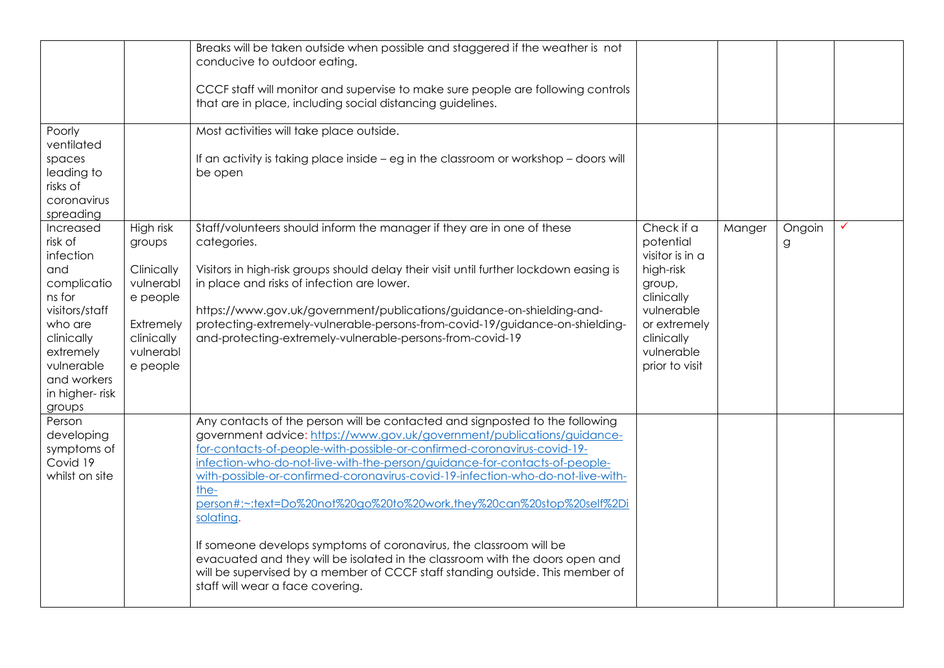| Poorly<br>ventilated<br>spaces<br>leading to<br>risks of<br>coronavirus<br>spreading                                                                                               |                                                                                                                | Breaks will be taken outside when possible and staggered if the weather is not<br>conducive to outdoor eating.<br>CCCF staff will monitor and supervise to make sure people are following controls<br>that are in place, including social distancing guidelines.<br>Most activities will take place outside.<br>If an activity is taking place inside – eg in the classroom or workshop – doors will<br>be open                                                                                                                                                                                                                                                                                                                                                             |                                                                                                                                                             |        |                        |  |
|------------------------------------------------------------------------------------------------------------------------------------------------------------------------------------|----------------------------------------------------------------------------------------------------------------|-----------------------------------------------------------------------------------------------------------------------------------------------------------------------------------------------------------------------------------------------------------------------------------------------------------------------------------------------------------------------------------------------------------------------------------------------------------------------------------------------------------------------------------------------------------------------------------------------------------------------------------------------------------------------------------------------------------------------------------------------------------------------------|-------------------------------------------------------------------------------------------------------------------------------------------------------------|--------|------------------------|--|
| Increased<br>risk of<br>infection<br>and<br>complicatio<br>ns for<br>visitors/staff<br>who are<br>clinically<br>extremely<br>vulnerable<br>and workers<br>in higher-risk<br>groups | High risk<br>groups<br>Clinically<br>vulnerabl<br>e people<br>Extremely<br>clinically<br>vulnerabl<br>e people | Staff/volunteers should inform the manager if they are in one of these<br>categories.<br>Visitors in high-risk groups should delay their visit until further lockdown easing is<br>in place and risks of infection are lower.<br>https://www.gov.uk/government/publications/guidance-on-shielding-and-<br>protecting-extremely-vulnerable-persons-from-covid-19/guidance-on-shielding-<br>and-protecting-extremely-vulnerable-persons-from-covid-19                                                                                                                                                                                                                                                                                                                         | Check if a<br>potential<br>visitor is in a<br>high-risk<br>group,<br>clinically<br>vulnerable<br>or extremely<br>clinically<br>vulnerable<br>prior to visit | Manger | Ongoin<br>$\mathsf{G}$ |  |
| Person<br>developing<br>symptoms of<br>Covid 19<br>whilst on site                                                                                                                  |                                                                                                                | Any contacts of the person will be contacted and signposted to the following<br>government advice: https://www.gov.uk/government/publications/guidance-<br>for-contacts-of-people-with-possible-or-confirmed-coronavirus-covid-19-<br>infection-who-do-not-live-with-the-person/guidance-for-contacts-of-people-<br>with-possible-or-confirmed-coronavirus-covid-19-infection-who-do-not-live-with-<br>the-<br>person#:~:text=Do%20not%20go%20to%20work,they%20can%20stop%20self%2Di<br>solating<br>If someone develops symptoms of coronavirus, the classroom will be<br>evacuated and they will be isolated in the classroom with the doors open and<br>will be supervised by a member of CCCF staff standing outside. This member of<br>staff will wear a face covering. |                                                                                                                                                             |        |                        |  |